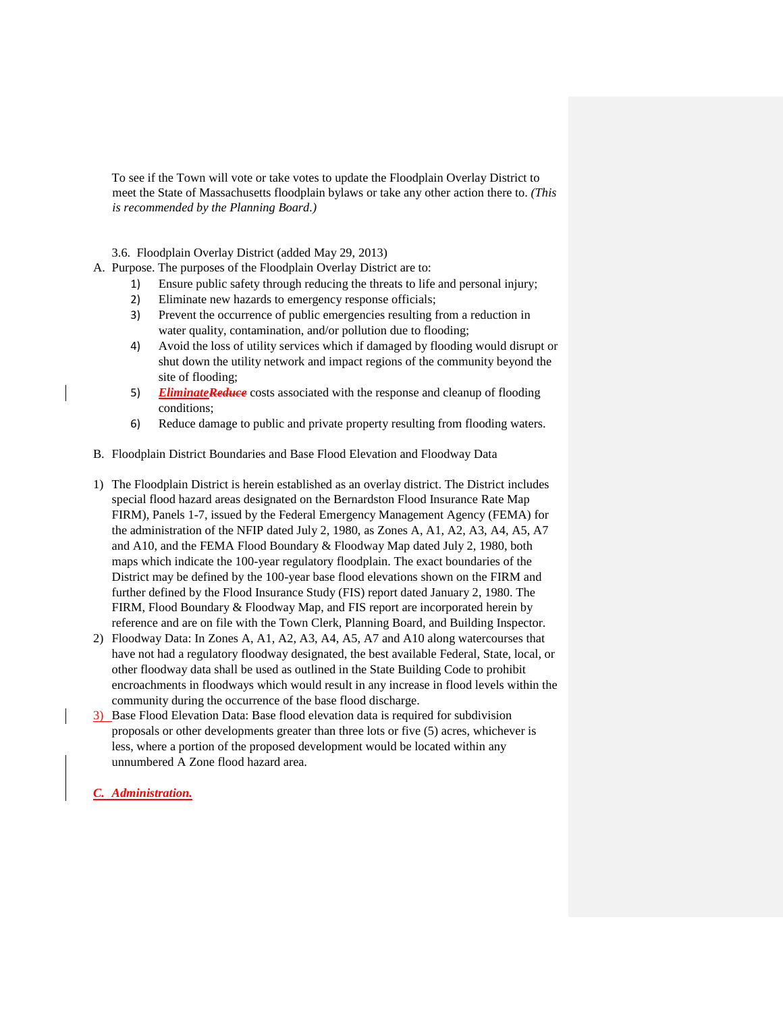To see if the Town will vote or take votes to update the Floodplain Overlay District to meet the State of Massachusetts floodplain bylaws or take any other action there to. *(This is recommended by the Planning Board.)*

3.6. Floodplain Overlay District (added May 29, 2013)

- A. Purpose. The purposes of the Floodplain Overlay District are to:
	- 1) Ensure public safety through reducing the threats to life and personal injury;
	- 2) Eliminate new hazards to emergency response officials;
	- 3) Prevent the occurrence of public emergencies resulting from a reduction in water quality, contamination, and/or pollution due to flooding;
	- 4) Avoid the loss of utility services which if damaged by flooding would disrupt or shut down the utility network and impact regions of the community beyond the site of flooding;
	- 5) **EliminateReduce** costs associated with the response and cleanup of flooding conditions;
	- 6) Reduce damage to public and private property resulting from flooding waters.
- B. Floodplain District Boundaries and Base Flood Elevation and Floodway Data
- 1) The Floodplain District is herein established as an overlay district. The District includes special flood hazard areas designated on the Bernardston Flood Insurance Rate Map FIRM), Panels 1-7, issued by the Federal Emergency Management Agency (FEMA) for the administration of the NFIP dated July 2, 1980, as Zones A, A1, A2, A3, A4, A5, A7 and A10, and the FEMA Flood Boundary & Floodway Map dated July 2, 1980, both maps which indicate the 100-year regulatory floodplain. The exact boundaries of the District may be defined by the 100-year base flood elevations shown on the FIRM and further defined by the Flood Insurance Study (FIS) report dated January 2, 1980. The FIRM, Flood Boundary & Floodway Map, and FIS report are incorporated herein by reference and are on file with the Town Clerk, Planning Board, and Building Inspector.
- 2) Floodway Data: In Zones A, A1, A2, A3, A4, A5, A7 and A10 along watercourses that have not had a regulatory floodway designated, the best available Federal, State, local, or other floodway data shall be used as outlined in the State Building Code to prohibit encroachments in floodways which would result in any increase in flood levels within the community during the occurrence of the base flood discharge.
- 3) Base Flood Elevation Data: Base flood elevation data is required for subdivision proposals or other developments greater than three lots or five (5) acres, whichever is less, where a portion of the proposed development would be located within any unnumbered A Zone flood hazard area.

*C. Administration.*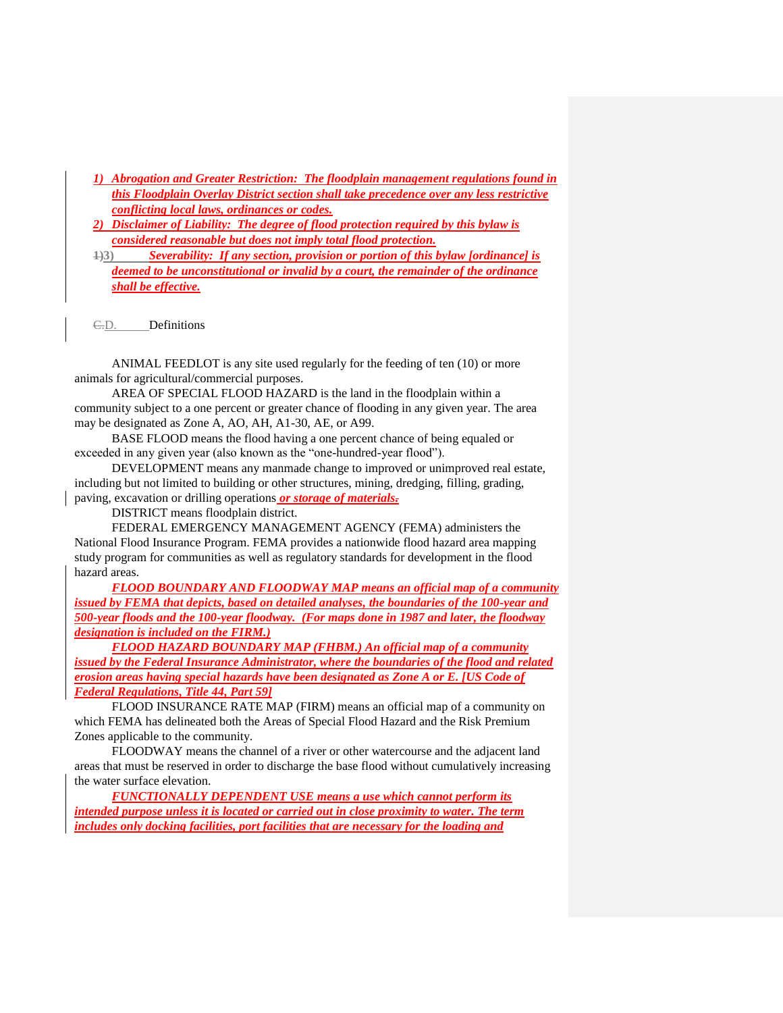- *1) Abrogation and Greater Restriction: The floodplain management regulations found in this Floodplain Overlay District section shall take precedence over any less restrictive conflicting local laws, ordinances or codes.*
- *2) Disclaimer of Liability: The degree of flood protection required by this bylaw is considered reasonable but does not imply total flood protection.*
- **1)3)** *Severability: If any section, provision or portion of this bylaw [ordinance] is deemed to be unconstitutional or invalid by a court, the remainder of the ordinance shall be effective.*

C.D. Definitions

ANIMAL FEEDLOT is any site used regularly for the feeding of ten (10) or more animals for agricultural/commercial purposes.

AREA OF SPECIAL FLOOD HAZARD is the land in the floodplain within a community subject to a one percent or greater chance of flooding in any given year. The area may be designated as Zone A, AO, AH, A1-30, AE, or A99.

BASE FLOOD means the flood having a one percent chance of being equaled or exceeded in any given year (also known as the "one-hundred-year flood").

DEVELOPMENT means any manmade change to improved or unimproved real estate, including but not limited to building or other structures, mining, dredging, filling, grading, paving, excavation or drilling operations *or storage of materials.* 

DISTRICT means floodplain district.

FEDERAL EMERGENCY MANAGEMENT AGENCY (FEMA) administers the National Flood Insurance Program. FEMA provides a nationwide flood hazard area mapping study program for communities as well as regulatory standards for development in the flood hazard areas.

*FLOOD BOUNDARY AND FLOODWAY MAP means an official map of a community issued by FEMA that depicts, based on detailed analyses, the boundaries of the 100-year and 500-year floods and the 100-year floodway. (For maps done in 1987 and later, the floodway designation is included on the FIRM.)* 

*FLOOD HAZARD BOUNDARY MAP (FHBM.) An official map of a community issued by the Federal Insurance Administrator, where the boundaries of the flood and related erosion areas having special hazards have been designated as Zone A or E. [US Code of Federal Regulations, Title 44, Part 59]*

FLOOD INSURANCE RATE MAP (FIRM) means an official map of a community on which FEMA has delineated both the Areas of Special Flood Hazard and the Risk Premium Zones applicable to the community.

FLOODWAY means the channel of a river or other watercourse and the adjacent land areas that must be reserved in order to discharge the base flood without cumulatively increasing the water surface elevation.

*FUNCTIONALLY DEPENDENT USE means a use which cannot perform its intended purpose unless it is located or carried out in close proximity to water. The term includes only docking facilities, port facilities that are necessary for the loading and*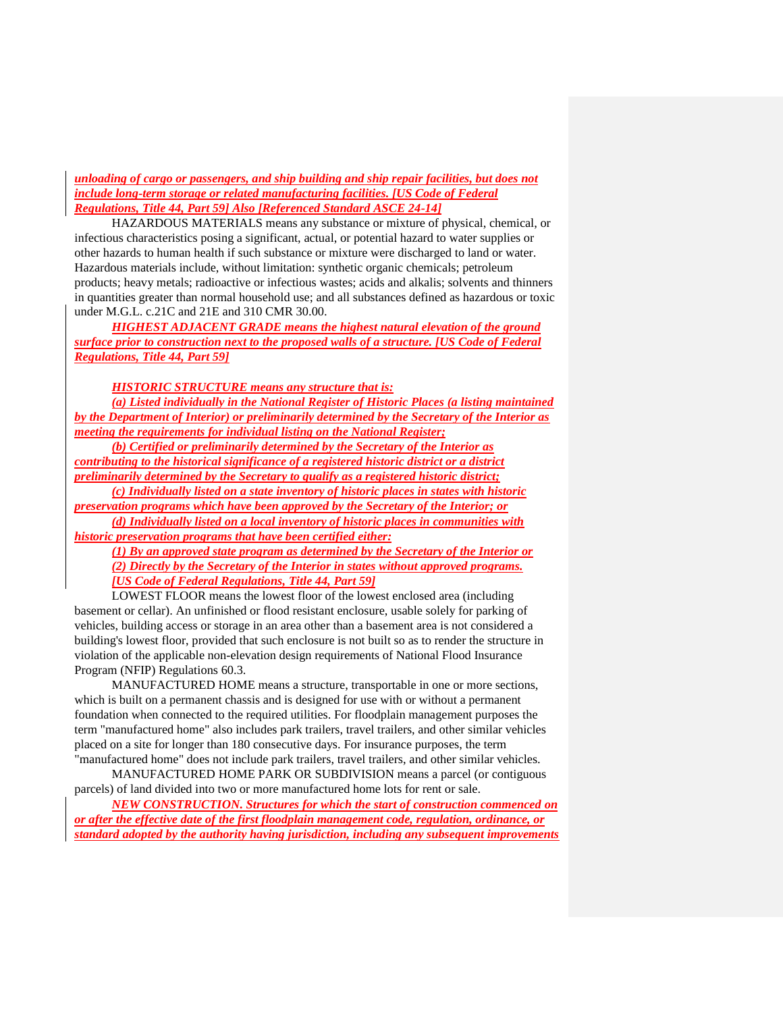*unloading of cargo or passengers, and ship building and ship repair facilities, but does not include long-term storage or related manufacturing facilities. [US Code of Federal Regulations, Title 44, Part 59] Also [Referenced Standard ASCE 24-14]*

HAZARDOUS MATERIALS means any substance or mixture of physical, chemical, or infectious characteristics posing a significant, actual, or potential hazard to water supplies or other hazards to human health if such substance or mixture were discharged to land or water. Hazardous materials include, without limitation: synthetic organic chemicals; petroleum products; heavy metals; radioactive or infectious wastes; acids and alkalis; solvents and thinners in quantities greater than normal household use; and all substances defined as hazardous or toxic under M.G.L. c.21C and 21E and 310 CMR 30.00.

*HIGHEST ADJACENT GRADE means the highest natural elevation of the ground surface prior to construction next to the proposed walls of a structure. [US Code of Federal Regulations, Title 44, Part 59]*

*HISTORIC STRUCTURE means any structure that is:*

*(a) Listed individually in the National Register of Historic Places (a listing maintained by the Department of Interior) or preliminarily determined by the Secretary of the Interior as meeting the requirements for individual listing on the National Register;*

*(b) Certified or preliminarily determined by the Secretary of the Interior as contributing to the historical significance of a registered historic district or a district preliminarily determined by the Secretary to qualify as a registered historic district;*

*(c) Individually listed on a state inventory of historic places in states with historic preservation programs which have been approved by the Secretary of the Interior; or (d) Individually listed on a local inventory of historic places in communities with* 

*historic preservation programs that have been certified either:*

*(1) By an approved state program as determined by the Secretary of the Interior or (2) Directly by the Secretary of the Interior in states without approved programs. [US Code of Federal Regulations, Title 44, Part 59]*

LOWEST FLOOR means the lowest floor of the lowest enclosed area (including basement or cellar). An unfinished or flood resistant enclosure, usable solely for parking of vehicles, building access or storage in an area other than a basement area is not considered a building's lowest floor, provided that such enclosure is not built so as to render the structure in violation of the applicable non-elevation design requirements of National Flood Insurance Program (NFIP) Regulations 60.3.

MANUFACTURED HOME means a structure, transportable in one or more sections, which is built on a permanent chassis and is designed for use with or without a permanent foundation when connected to the required utilities. For floodplain management purposes the term "manufactured home" also includes park trailers, travel trailers, and other similar vehicles placed on a site for longer than 180 consecutive days. For insurance purposes, the term "manufactured home" does not include park trailers, travel trailers, and other similar vehicles.

MANUFACTURED HOME PARK OR SUBDIVISION means a parcel (or contiguous parcels) of land divided into two or more manufactured home lots for rent or sale.

*NEW CONSTRUCTION. Structures for which the start of construction commenced on or after the effective date of the first floodplain management code, regulation, ordinance, or standard adopted by the authority having jurisdiction, including any subsequent improvements*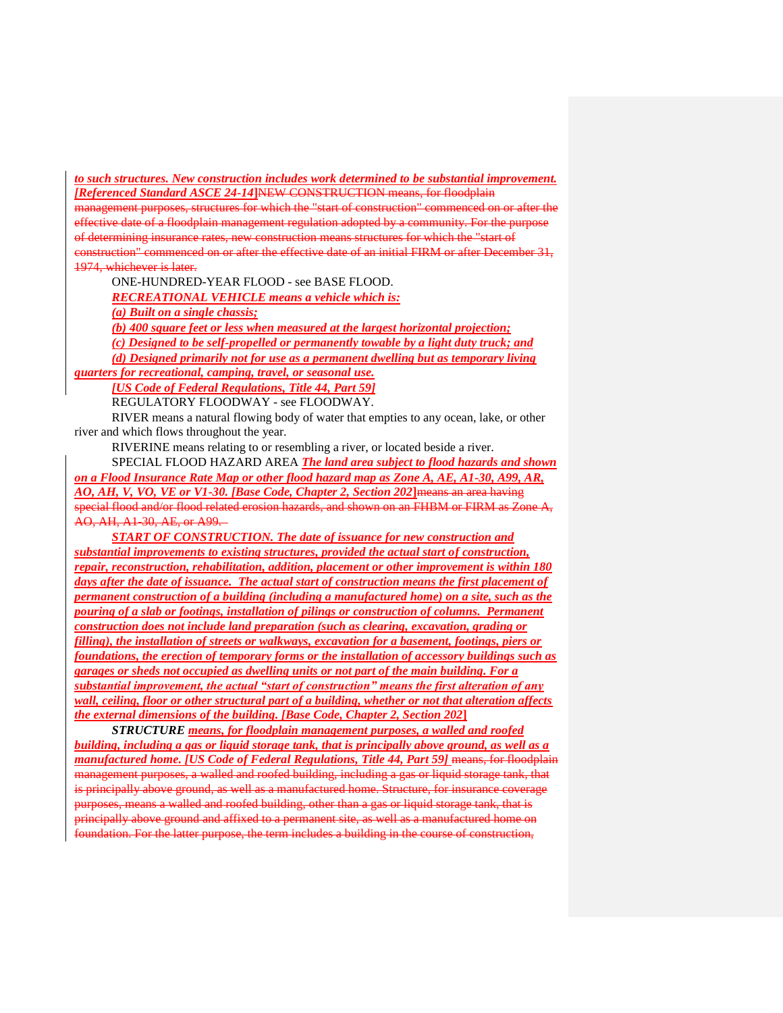*to such structures. New construction includes work determined to be substantial improvement. [Referenced Standard ASCE 24-14***]**NEW CONSTRUCTION means, for floodplain

management purposes, structures for which the "start of construction" commenced on or after the effective date of a floodplain management regulation adopted by a community. For the purpose of determining insurance rates, new construction means structures for which the "start of construction" commenced on or after the effective date of an initial FIRM or after December 31, 1974, whichever is later.

ONE-HUNDRED-YEAR FLOOD - see BASE FLOOD.

*RECREATIONAL VEHICLE means a vehicle which is:*

*(a) Built on a single chassis;*

*(b) 400 square feet or less when measured at the largest horizontal projection;*

*(c) Designed to be self-propelled or permanently towable by a light duty truck; and (d) Designed primarily not for use as a permanent dwelling but as temporary living* 

*quarters for recreational, camping, travel, or seasonal use.*

*[US Code of Federal Regulations, Title 44, Part 59]*

REGULATORY FLOODWAY - see FLOODWAY.

RIVER means a natural flowing body of water that empties to any ocean, lake, or other river and which flows throughout the year.

RIVERINE means relating to or resembling a river, or located beside a river.

SPECIAL FLOOD HAZARD AREA *The land area subject to flood hazards and shown on a Flood Insurance Rate Map or other flood hazard map as Zone A, AE, A1-30, A99, AR, AO, AH, V, VO, VE or V1-30. [Base Code, Chapter 2, Section 202***]**means an area having special flood and/or flood related erosion hazards, and shown on an FHBM or FIRM as Zone A, AO, AH, A1-30, AE, or A99.

*START OF CONSTRUCTION. The date of issuance for new construction and substantial improvements to existing structures, provided the actual start of construction, repair, reconstruction, rehabilitation, addition, placement or other improvement is within 180 days after the date of issuance. The actual start of construction means the first placement of permanent construction of a building (including a manufactured home) on a site, such as the pouring of a slab or footings, installation of pilings or construction of columns. Permanent construction does not include land preparation (such as clearing, excavation, grading or filling), the installation of streets or walkways, excavation for a basement, footings, piers or foundations, the erection of temporary forms or the installation of accessory buildings such as garages or sheds not occupied as dwelling units or not part of the main building. For a substantial improvement, the actual "start of construction" means the first alteration of any wall, ceiling, floor or other structural part of a building, whether or not that alteration affects the external dimensions of the building. [Base Code, Chapter 2, Section 202***]**

*STRUCTURE means, for floodplain management purposes, a walled and roofed building, including a gas or liquid storage tank, that is principally above ground, as well as a manufactured home. [US Code of Federal Regulations, Title 44, Part 59]* means, for floodplain management purposes, a walled and roofed building, including a gas or liquid storage tank, that is principally above ground, as well as a manufactured home. Structure, for insurance coverage purposes, means a walled and roofed building, other than a gas or liquid storage tank, that is principally above ground and affixed to a permanent site, as well as a manufactured home on foundation. For the latter purpose, the term includes a building in the course of construction,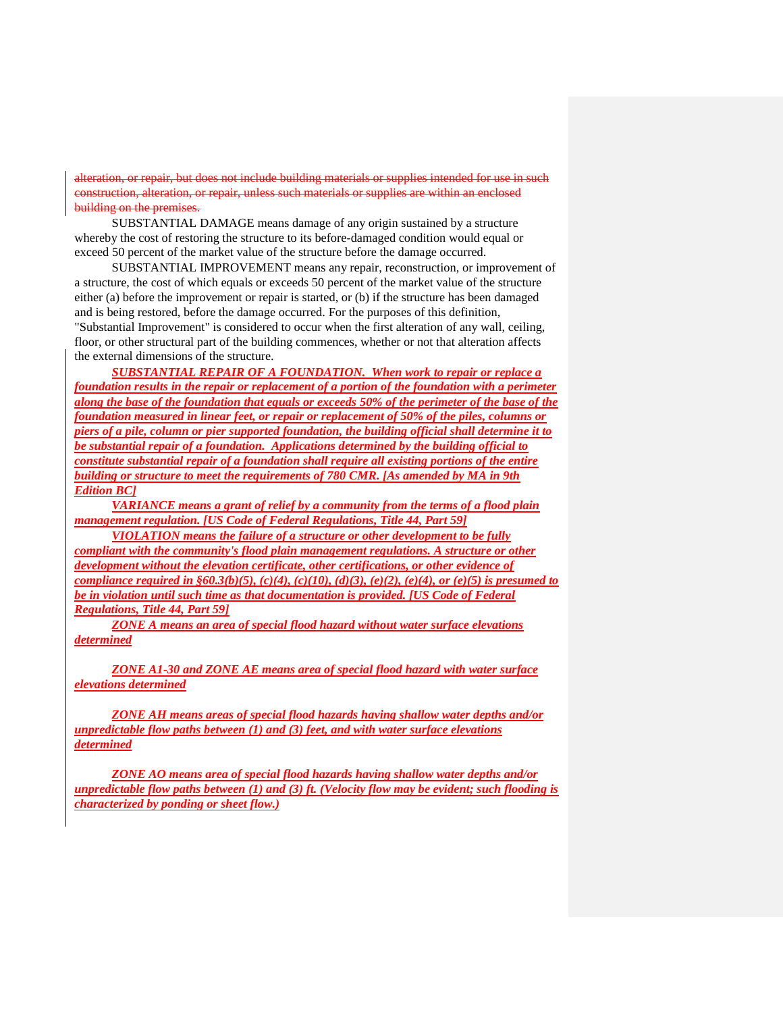does not include building materials or supplies intended for use in such materials or supplies building on the premises.

SUBSTANTIAL DAMAGE means damage of any origin sustained by a structure whereby the cost of restoring the structure to its before-damaged condition would equal or exceed 50 percent of the market value of the structure before the damage occurred.

SUBSTANTIAL IMPROVEMENT means any repair, reconstruction, or improvement of a structure, the cost of which equals or exceeds 50 percent of the market value of the structure either (a) before the improvement or repair is started, or (b) if the structure has been damaged and is being restored, before the damage occurred. For the purposes of this definition, "Substantial Improvement" is considered to occur when the first alteration of any wall, ceiling, floor, or other structural part of the building commences, whether or not that alteration affects the external dimensions of the structure.

*SUBSTANTIAL REPAIR OF A FOUNDATION. When work to repair or replace a foundation results in the repair or replacement of a portion of the foundation with a perimeter along the base of the foundation that equals or exceeds 50% of the perimeter of the base of the foundation measured in linear feet, or repair or replacement of 50% of the piles, columns or piers of a pile, column or pier supported foundation, the building official shall determine it to be substantial repair of a foundation. Applications determined by the building official to constitute substantial repair of a foundation shall require all existing portions of the entire building or structure to meet the requirements of 780 CMR. [As amended by MA in 9th Edition BC]*

*VARIANCE means a grant of relief by a community from the terms of a flood plain management regulation. [US Code of Federal Regulations, Title 44, Part 59]*

*VIOLATION means the failure of a structure or other development to be fully compliant with the community's flood plain management regulations. A structure or other development without the elevation certificate, other certifications, or other evidence of compliance required in §60.3(b)(5), (c)(4), (c)(10), (d)(3), (e)(2), (e)(4), or (e)(5) is presumed to be in violation until such time as that documentation is provided. [US Code of Federal Regulations, Title 44, Part 59]*

*ZONE A means an area of special flood hazard without water surface elevations determined*

*ZONE A1-30 and ZONE AE means area of special flood hazard with water surface elevations determined*

*ZONE AH means areas of special flood hazards having shallow water depths and/or unpredictable flow paths between (1) and (3) feet, and with water surface elevations determined*

*ZONE AO means area of special flood hazards having shallow water depths and/or unpredictable flow paths between (1) and (3) ft. (Velocity flow may be evident; such flooding is characterized by ponding or sheet flow.)*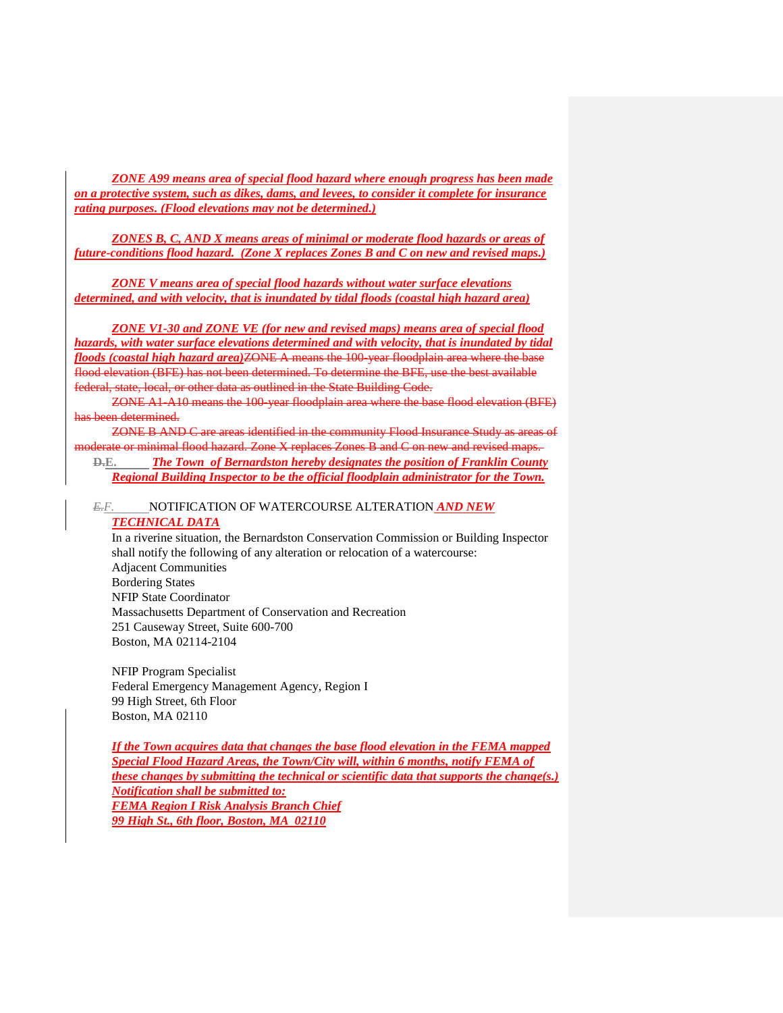*ZONE A99 means area of special flood hazard where enough progress has been made on a protective system, such as dikes, dams, and levees, to consider it complete for insurance rating purposes. (Flood elevations may not be determined.)*

*ZONES B, C, AND X means areas of minimal or moderate flood hazards or areas of future-conditions flood hazard. (Zone X replaces Zones B and C on new and revised maps.)*

*ZONE V means area of special flood hazards without water surface elevations determined, and with velocity, that is inundated by tidal floods (coastal high hazard area)*

*ZONE V1-30 and ZONE VE (for new and revised maps) means area of special flood hazards, with water surface elevations determined and with velocity, that is inundated by tidal floods (coastal high hazard area)*ZONE A means the 100-year floodplain area where the base flood elevation (BFE) has not been determined. To determine the BFE, use the best available federal, state, local, or other data as outlined in the State Building Code.

ZONE A1-A10 means the 100-year floodplain area where the base flood elevation (BFE) has been determined.

ZONE B AND C are areas identified in the community Flood Insurance Study as areas of moderate or minimal flood hazard. Zone X replaces Zones B and C on new and revised maps.

**D.E.** *The Town of Bernardston hereby designates the position of Franklin County Regional Building Inspector to be the official floodplain administrator for the Town.*

# *E.F.* NOTIFICATION OF WATERCOURSE ALTERATION *AND NEW TECHNICAL DATA*

In a riverine situation, the Bernardston Conservation Commission or Building Inspector shall notify the following of any alteration or relocation of a watercourse: Adjacent Communities Bordering States NFIP State Coordinator Massachusetts Department of Conservation and Recreation 251 Causeway Street, Suite 600-700 Boston, MA 02114-2104

NFIP Program Specialist Federal Emergency Management Agency, Region I 99 High Street, 6th Floor Boston, MA 02110

*If the Town acquires data that changes the base flood elevation in the FEMA mapped Special Flood Hazard Areas, the Town/City will, within 6 months, notify FEMA of these changes by submitting the technical or scientific data that supports the change(s.) Notification shall be submitted to: FEMA Region I Risk Analysis Branch Chief 99 High St., 6th floor, Boston, MA 02110*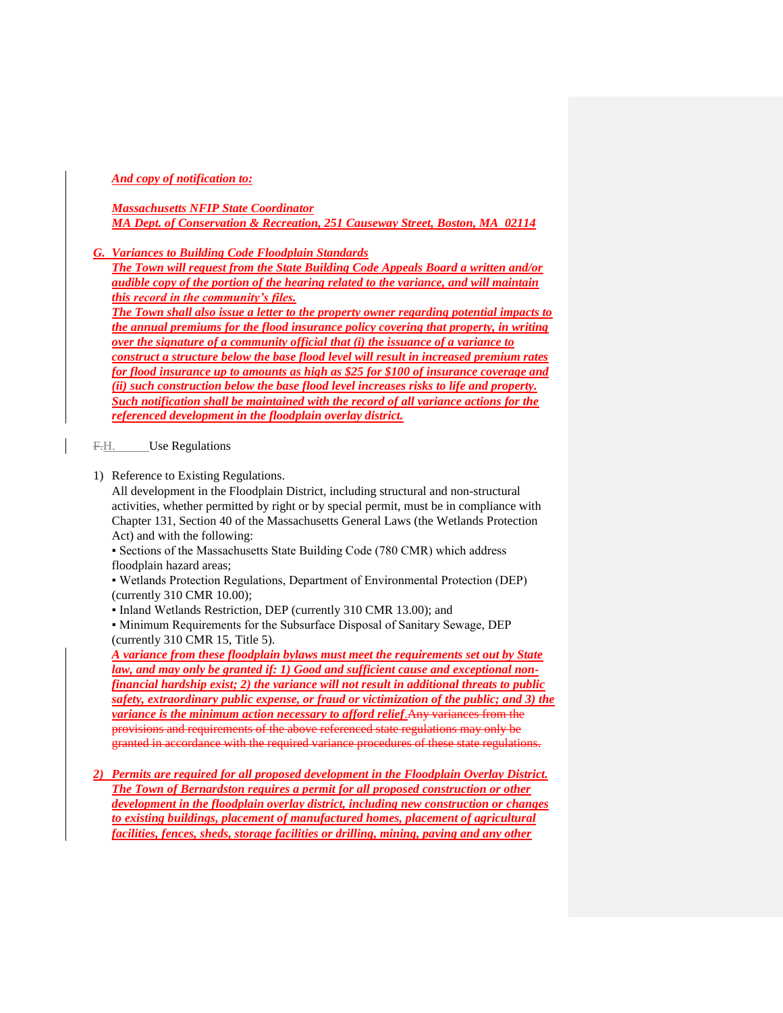*And copy of notification to:*

## *Massachusetts NFIP State Coordinator MA Dept. of Conservation & Recreation, 251 Causeway Street, Boston, MA 02114*

*G. Variances to Building Code Floodplain Standards*

*The Town will request from the State Building Code Appeals Board a written and/or audible copy of the portion of the hearing related to the variance, and will maintain this record in the community's files.* 

*The Town shall also issue a letter to the property owner regarding potential impacts to the annual premiums for the flood insurance policy covering that property, in writing over the signature of a community official that (i) the issuance of a variance to construct a structure below the base flood level will result in increased premium rates for flood insurance up to amounts as high as \$25 for \$100 of insurance coverage and (ii) such construction below the base flood level increases risks to life and property. Such notification shall be maintained with the record of all variance actions for the referenced development in the floodplain overlay district.*

F.H. Use Regulations

1) Reference to Existing Regulations.

All development in the Floodplain District, including structural and non-structural activities, whether permitted by right or by special permit, must be in compliance with Chapter 131, Section 40 of the Massachusetts General Laws (the Wetlands Protection Act) and with the following:

▪ Sections of the Massachusetts State Building Code (780 CMR) which address floodplain hazard areas;

▪ Wetlands Protection Regulations, Department of Environmental Protection (DEP) (currently 310 CMR 10.00);

▪ Inland Wetlands Restriction, DEP (currently 310 CMR 13.00); and

▪ Minimum Requirements for the Subsurface Disposal of Sanitary Sewage, DEP (currently 310 CMR 15, Title 5).

*A variance from these floodplain bylaws must meet the requirements set out by State law, and may only be granted if: 1) Good and sufficient cause and exceptional nonfinancial hardship exist; 2) the variance will not result in additional threats to public safety, extraordinary public expense, or fraud or victimization of the public; and 3) the variance is the minimum action necessary to afford relief*.Any variances from the provisions and requirements of the above referenced state regulations may only be granted in accordance with the required variance procedures of these state regulations.

*2) Permits are required for all proposed development in the Floodplain Overlay District. The Town of Bernardston requires a permit for all proposed construction or other development in the floodplain overlay district, including new construction or changes to existing buildings, placement of manufactured homes, placement of agricultural facilities, fences, sheds, storage facilities or drilling, mining, paving and any other*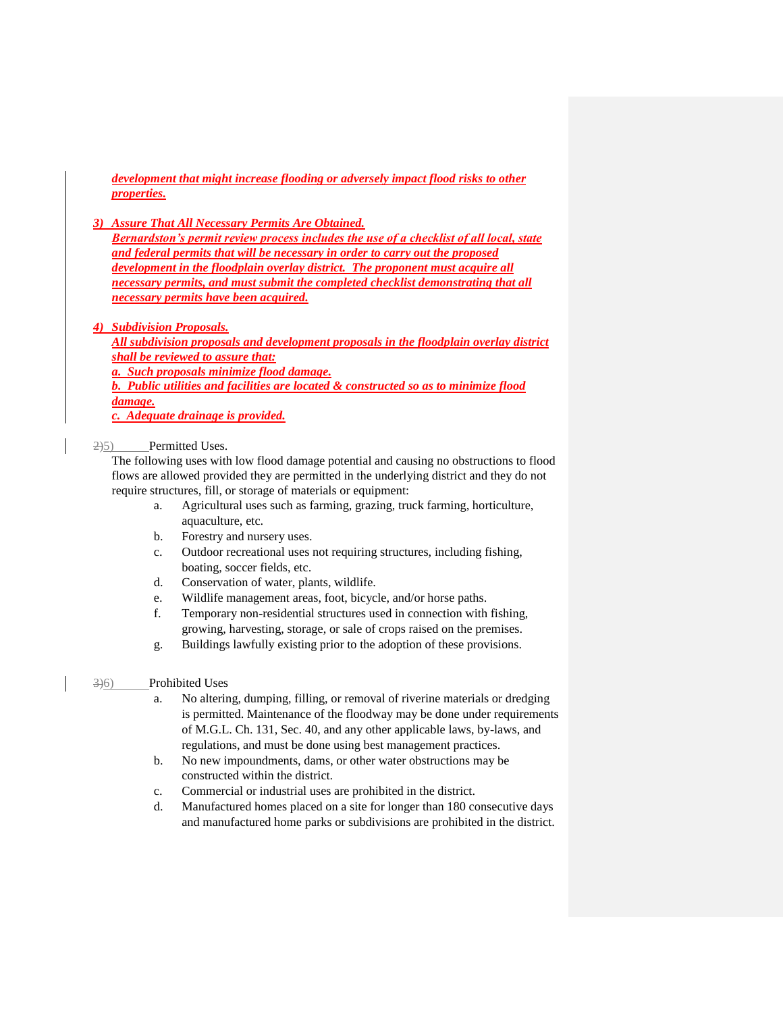*development that might increase flooding or adversely impact flood risks to other properties.*

*3) Assure That All Necessary Permits Are Obtained.*

*Bernardston's permit review process includes the use of a checklist of all local, state and federal permits that will be necessary in order to carry out the proposed development in the floodplain overlay district. The proponent must acquire all necessary permits, and must submit the completed checklist demonstrating that all necessary permits have been acquired.*

#### *4) Subdivision Proposals.*

*All subdivision proposals and development proposals in the floodplain overlay district shall be reviewed to assure that: a. Such proposals minimize flood damage. b. Public utilities and facilities are located & constructed so as to minimize flood damage. c. Adequate drainage is provided.*

2)5) Permitted Uses.

The following uses with low flood damage potential and causing no obstructions to flood flows are allowed provided they are permitted in the underlying district and they do not require structures, fill, or storage of materials or equipment:

- a. Agricultural uses such as farming, grazing, truck farming, horticulture, aquaculture, etc.
- b. Forestry and nursery uses.
- c. Outdoor recreational uses not requiring structures, including fishing, boating, soccer fields, etc.
- d. Conservation of water, plants, wildlife.
- e. Wildlife management areas, foot, bicycle, and/or horse paths.
- f. Temporary non-residential structures used in connection with fishing, growing, harvesting, storage, or sale of crops raised on the premises.
- g. Buildings lawfully existing prior to the adoption of these provisions.

#### 3)6) Prohibited Uses

- a. No altering, dumping, filling, or removal of riverine materials or dredging is permitted. Maintenance of the floodway may be done under requirements of M.G.L. Ch. 131, Sec. 40, and any other applicable laws, by-laws, and regulations, and must be done using best management practices.
- b. No new impoundments, dams, or other water obstructions may be constructed within the district.
- c. Commercial or industrial uses are prohibited in the district.
- d. Manufactured homes placed on a site for longer than 180 consecutive days and manufactured home parks or subdivisions are prohibited in the district.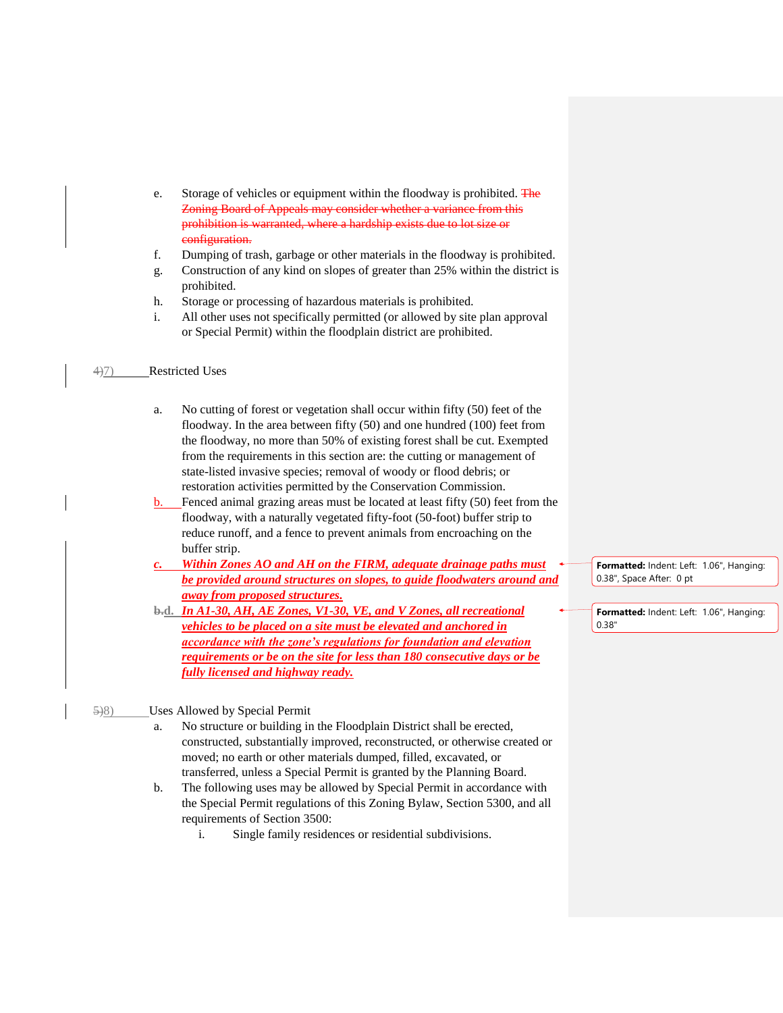- e. Storage of vehicles or equipment within the floodway is prohibited. The Zoning Board of Appeals may consider whether a variance from this prohibition is warranted, where a hardship exists due to lot size or configuration.
- f. Dumping of trash, garbage or other materials in the floodway is prohibited.
- g. Construction of any kind on slopes of greater than 25% within the district is prohibited.
- h. Storage or processing of hazardous materials is prohibited.
- i. All other uses not specifically permitted (or allowed by site plan approval or Special Permit) within the floodplain district are prohibited.

### 4)7) Restricted Uses

- a. No cutting of forest or vegetation shall occur within fifty (50) feet of the floodway. In the area between fifty (50) and one hundred (100) feet from the floodway, no more than 50% of existing forest shall be cut. Exempted from the requirements in this section are: the cutting or management of state-listed invasive species; removal of woody or flood debris; or restoration activities permitted by the Conservation Commission.
- b. Fenced animal grazing areas must be located at least fifty (50) feet from the floodway, with a naturally vegetated fifty-foot (50-foot) buffer strip to reduce runoff, and a fence to prevent animals from encroaching on the buffer strip.
- *c. Within Zones AO and AH on the FIRM, adequate drainage paths must be provided around structures on slopes, to guide floodwaters around and away from proposed structures.*
- **b.d.** *In A1-30, AH, AE Zones, V1-30, VE, and V Zones, all recreational vehicles to be placed on a site must be elevated and anchored in accordance with the zone's regulations for foundation and elevation requirements or be on the site for less than 180 consecutive days or be fully licensed and highway ready.*

**Formatted:** Indent: Left: 1.06", Hanging: 0.38", Space After: 0 pt

**Formatted:** Indent: Left: 1.06", Hanging: 0.38"

- 5)8) Uses Allowed by Special Permit
	- a. No structure or building in the Floodplain District shall be erected, constructed, substantially improved, reconstructed, or otherwise created or moved; no earth or other materials dumped, filled, excavated, or transferred, unless a Special Permit is granted by the Planning Board.
	- b. The following uses may be allowed by Special Permit in accordance with the Special Permit regulations of this Zoning Bylaw, Section 5300, and all requirements of Section 3500:
		- i. Single family residences or residential subdivisions.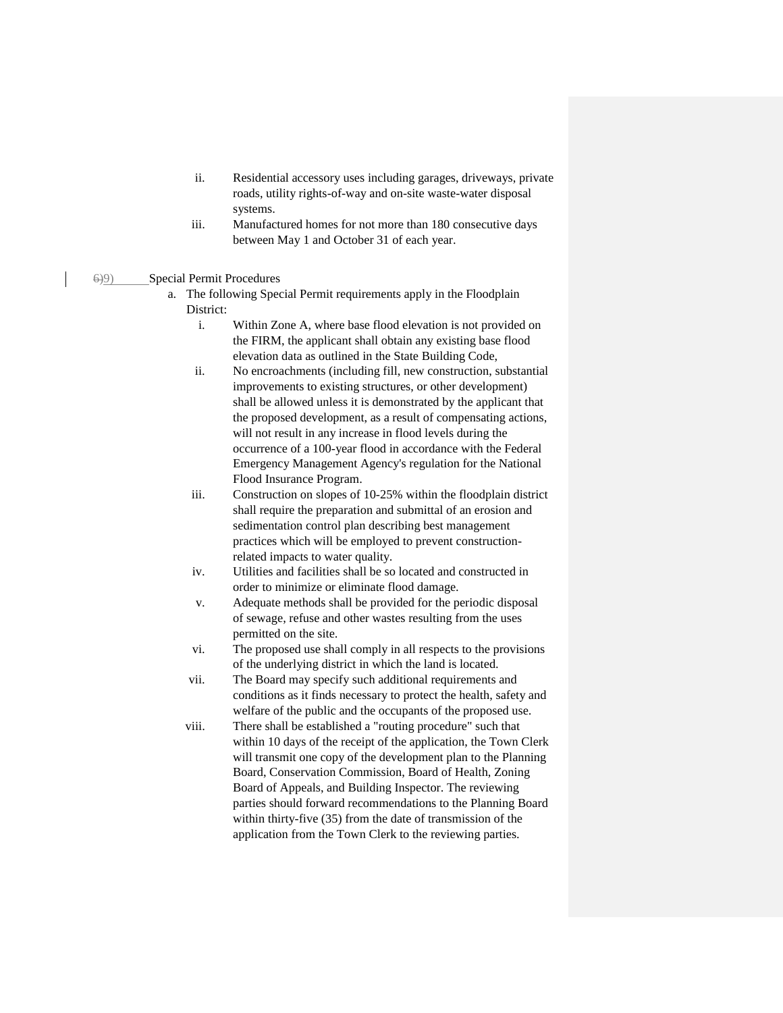- ii. Residential accessory uses including garages, driveways, private roads, utility rights-of-way and on-site waste-water disposal systems.
- iii. Manufactured homes for not more than 180 consecutive days between May 1 and October 31 of each year.

6)9) Special Permit Procedures

- a. The following Special Permit requirements apply in the Floodplain District:
	- i. Within Zone A, where base flood elevation is not provided on the FIRM, the applicant shall obtain any existing base flood elevation data as outlined in the State Building Code,
	- ii. No encroachments (including fill, new construction, substantial improvements to existing structures, or other development) shall be allowed unless it is demonstrated by the applicant that the proposed development, as a result of compensating actions, will not result in any increase in flood levels during the occurrence of a 100-year flood in accordance with the Federal Emergency Management Agency's regulation for the National Flood Insurance Program.
	- iii. Construction on slopes of 10-25% within the floodplain district shall require the preparation and submittal of an erosion and sedimentation control plan describing best management practices which will be employed to prevent constructionrelated impacts to water quality.
	- iv. Utilities and facilities shall be so located and constructed in order to minimize or eliminate flood damage.
	- v. Adequate methods shall be provided for the periodic disposal of sewage, refuse and other wastes resulting from the uses permitted on the site.
	- vi. The proposed use shall comply in all respects to the provisions of the underlying district in which the land is located.
	- vii. The Board may specify such additional requirements and conditions as it finds necessary to protect the health, safety and welfare of the public and the occupants of the proposed use.
	- viii. There shall be established a "routing procedure" such that within 10 days of the receipt of the application, the Town Clerk will transmit one copy of the development plan to the Planning Board, Conservation Commission, Board of Health, Zoning Board of Appeals, and Building Inspector. The reviewing parties should forward recommendations to the Planning Board within thirty-five (35) from the date of transmission of the application from the Town Clerk to the reviewing parties.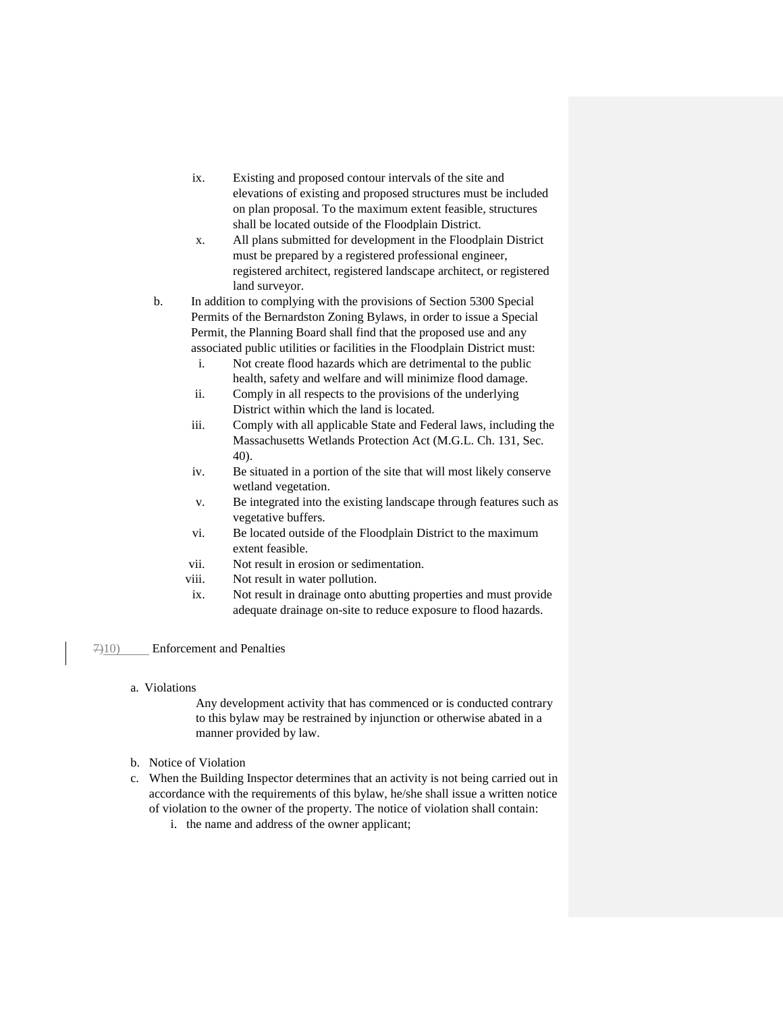- ix. Existing and proposed contour intervals of the site and elevations of existing and proposed structures must be included on plan proposal. To the maximum extent feasible, structures shall be located outside of the Floodplain District.
- x. All plans submitted for development in the Floodplain District must be prepared by a registered professional engineer, registered architect, registered landscape architect, or registered land surveyor.
- b. In addition to complying with the provisions of Section 5300 Special Permits of the Bernardston Zoning Bylaws, in order to issue a Special Permit, the Planning Board shall find that the proposed use and any associated public utilities or facilities in the Floodplain District must:
	- i. Not create flood hazards which are detrimental to the public health, safety and welfare and will minimize flood damage.
	- ii. Comply in all respects to the provisions of the underlying District within which the land is located.
	- iii. Comply with all applicable State and Federal laws, including the Massachusetts Wetlands Protection Act (M.G.L. Ch. 131, Sec. 40).
	- iv. Be situated in a portion of the site that will most likely conserve wetland vegetation.
	- v. Be integrated into the existing landscape through features such as vegetative buffers.
	- vi. Be located outside of the Floodplain District to the maximum extent feasible.
	- vii. Not result in erosion or sedimentation.
	- viii. Not result in water pollution.
	- ix. Not result in drainage onto abutting properties and must provide adequate drainage on-site to reduce exposure to flood hazards.

# 7)10) Enforcement and Penalties

a. Violations

Any development activity that has commenced or is conducted contrary to this bylaw may be restrained by injunction or otherwise abated in a manner provided by law.

- b. Notice of Violation
- c. When the Building Inspector determines that an activity is not being carried out in accordance with the requirements of this bylaw, he/she shall issue a written notice of violation to the owner of the property. The notice of violation shall contain:
	- i. the name and address of the owner applicant;